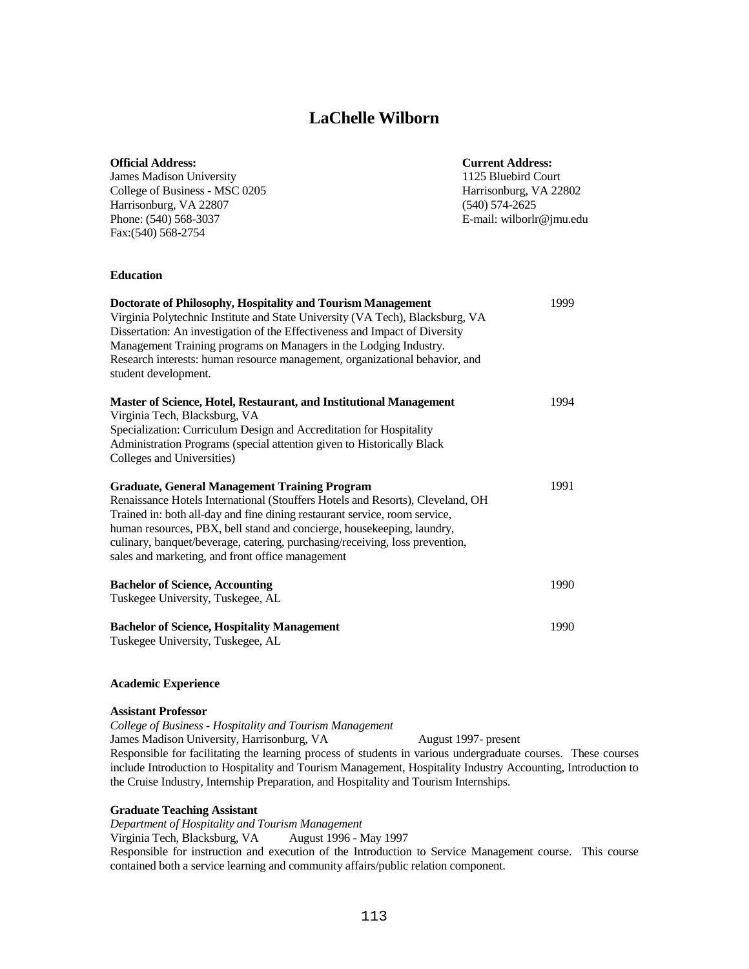# **LaChelle Wilborn**

| <b>Official Address:</b>       | <b>Current Address:</b>  |
|--------------------------------|--------------------------|
| James Madison University       | 1125 Bluebird Court      |
| College of Business - MSC 0205 | Harrisonburg, VA 22802   |
| Harrisonburg, VA 22807         | $(540)$ 574-2625         |
| Phone: (540) 568-3037          | E-mail: wilborlr@jmu.edu |
| Fax: (540) 568-2754            |                          |
|                                |                          |
|                                |                          |

# **Education**

| Doctorate of Philosophy, Hospitality and Tourism Management<br>Virginia Polytechnic Institute and State University (VA Tech), Blacksburg, VA | 1999 |
|----------------------------------------------------------------------------------------------------------------------------------------------|------|
| Dissertation: An investigation of the Effectiveness and Impact of Diversity                                                                  |      |
| Management Training programs on Managers in the Lodging Industry.                                                                            |      |
| Research interests: human resource management, organizational behavior, and                                                                  |      |
| student development.                                                                                                                         |      |
| Master of Science, Hotel, Restaurant, and Institutional Management                                                                           | 1994 |
| Virginia Tech, Blacksburg, VA                                                                                                                |      |
| Specialization: Curriculum Design and Accreditation for Hospitality                                                                          |      |
| Administration Programs (special attention given to Historically Black                                                                       |      |
| Colleges and Universities)                                                                                                                   |      |
| <b>Graduate, General Management Training Program</b>                                                                                         | 1991 |
| Renaissance Hotels International (Stouffers Hotels and Resorts), Cleveland, OH                                                               |      |
| Trained in: both all-day and fine dining restaurant service, room service,                                                                   |      |
| human resources, PBX, bell stand and concierge, housekeeping, laundry,                                                                       |      |
| culinary, banquet/beverage, catering, purchasing/receiving, loss prevention,                                                                 |      |
| sales and marketing, and front office management                                                                                             |      |
| <b>Bachelor of Science, Accounting</b>                                                                                                       | 1990 |
| Tuskegee University, Tuskegee, AL                                                                                                            |      |
|                                                                                                                                              |      |
| <b>Bachelor of Science, Hospitality Management</b>                                                                                           | 1990 |
| Tuskegee University, Tuskegee, AL                                                                                                            |      |

#### **Academic Experience**

## **Assistant Professor**

*College of Business - Hospitality and Tourism Management* James Madison University, Harrisonburg, VA August 1997- present

Responsible for facilitating the learning process of students in various undergraduate courses. These courses include Introduction to Hospitality and Tourism Management, Hospitality Industry Accounting, Introduction to the Cruise Industry, Internship Preparation, and Hospitality and Tourism Internships.

#### **Graduate Teaching Assistant**

*Department of Hospitality and Tourism Management* 

Virginia Tech, Blacksburg, VA August 1996 - May 1997

Responsible for instruction and execution of the Introduction to Service Management course. This course contained both a service learning and community affairs/public relation component.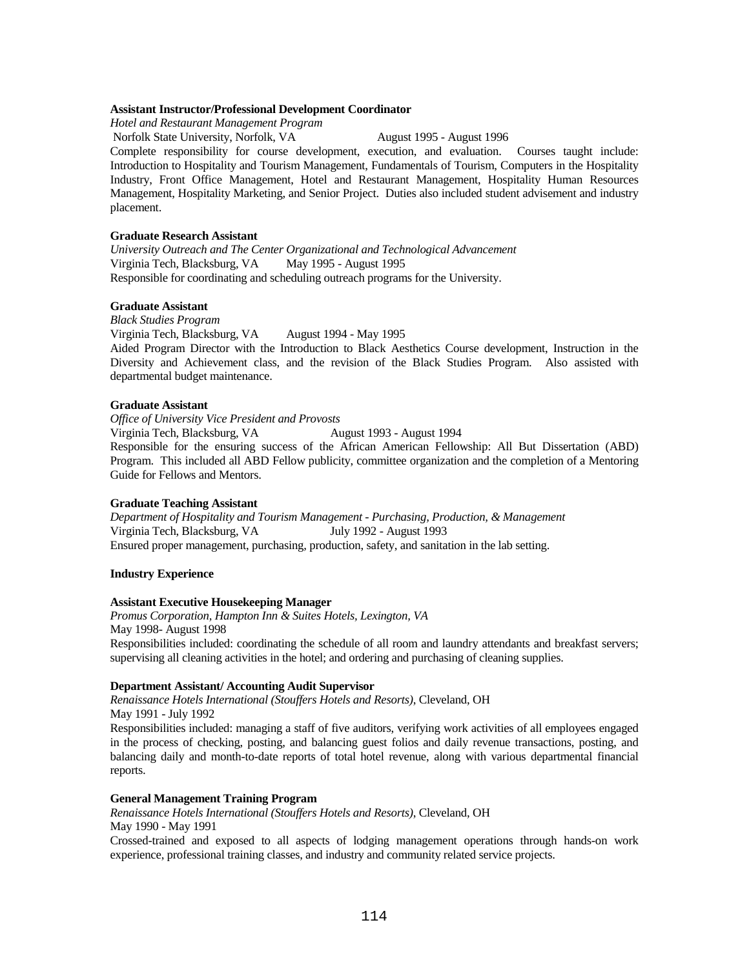#### **Assistant Instructor/Professional Development Coordinator**

*Hotel and Restaurant Management Program*

Norfolk State University, Norfolk, VA August 1995 - August 1996

Complete responsibility for course development, execution, and evaluation. Courses taught include: Introduction to Hospitality and Tourism Management, Fundamentals of Tourism, Computers in the Hospitality Industry, Front Office Management, Hotel and Restaurant Management, Hospitality Human Resources Management, Hospitality Marketing, and Senior Project. Duties also included student advisement and industry placement.

#### **Graduate Research Assistant**

*University Outreach and The Center Organizational and Technological Advancement* Virginia Tech, Blacksburg, VA May 1995 - August 1995 Responsible for coordinating and scheduling outreach programs for the University.

## **Graduate Assistant**

*Black Studies Program* Virginia Tech, Blacksburg, VA August 1994 - May 1995 Aided Program Director with the Introduction to Black Aesthetics Course development, Instruction in the Diversity and Achievement class, and the revision of the Black Studies Program. Also assisted with departmental budget maintenance.

#### **Graduate Assistant**

*Office of University Vice President and Provosts*

Virginia Tech, Blacksburg, VA August 1993 - August 1994

Responsible for the ensuring success of the African American Fellowship: All But Dissertation (ABD) Program. This included all ABD Fellow publicity, committee organization and the completion of a Mentoring Guide for Fellows and Mentors.

#### **Graduate Teaching Assistant**

*Department of Hospitality and Tourism Management - Purchasing, Production, & Management* Virginia Tech, Blacksburg, VA July 1992 - August 1993 Ensured proper management, purchasing, production, safety, and sanitation in the lab setting.

#### **Industry Experience**

#### **Assistant Executive Housekeeping Manager**

*Promus Corporation, Hampton Inn & Suites Hotels, Lexington, VA* May 1998- August 1998 Responsibilities included: coordinating the schedule of all room and laundry attendants and breakfast servers; supervising all cleaning activities in the hotel; and ordering and purchasing of cleaning supplies.

#### **Department Assistant/ Accounting Audit Supervisor**

*Renaissance Hotels International (Stouffers Hotels and Resorts)*, Cleveland, OH May 1991 - July 1992

Responsibilities included: managing a staff of five auditors, verifying work activities of all employees engaged in the process of checking, posting, and balancing guest folios and daily revenue transactions, posting, and balancing daily and month-to-date reports of total hotel revenue, along with various departmental financial reports.

#### **General Management Training Program**

*Renaissance Hotels International (Stouffers Hotels and Resorts)*, Cleveland, OH May 1990 - May 1991

Crossed-trained and exposed to all aspects of lodging management operations through hands-on work experience, professional training classes, and industry and community related service projects.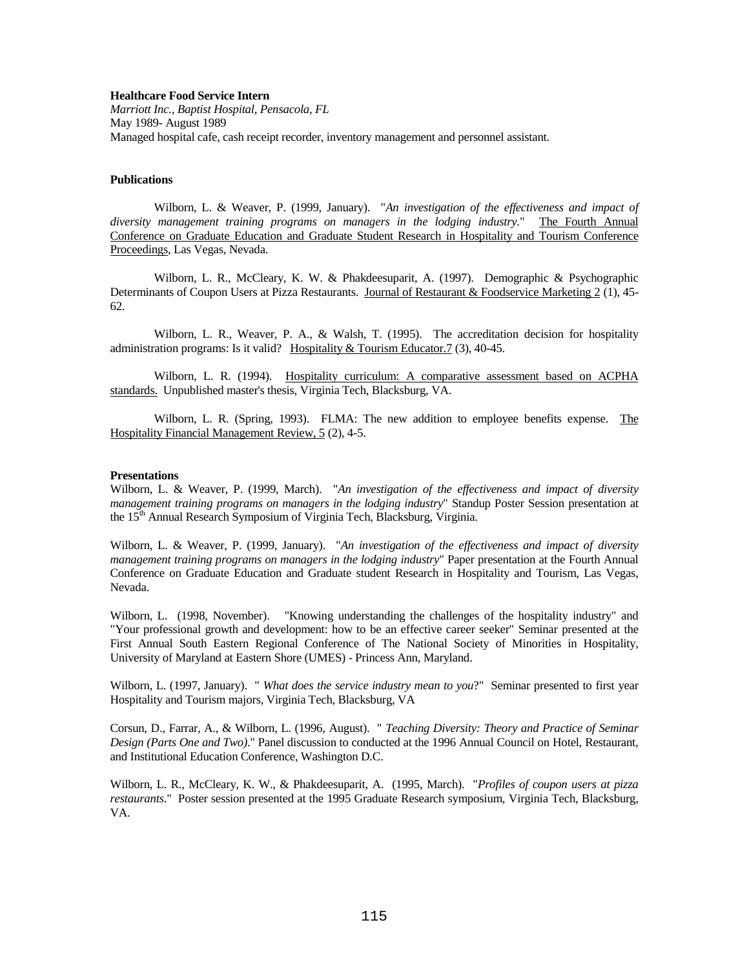#### **Healthcare Food Service Intern**

*Marriott Inc., Baptist Hospital, Pensacola, FL* May 1989- August 1989 Managed hospital cafe, cash receipt recorder, inventory management and personnel assistant.

#### **Publications**

Wilborn, L. & Weaver, P. (1999, January). "*An investigation of the effectiveness and impact of diversity management training programs on managers in the lodging industry.*" The Fourth Annual Conference on Graduate Education and Graduate Student Research in Hospitality and Tourism Conference Proceedings, Las Vegas, Nevada.

Wilborn, L. R., McCleary, K. W. & Phakdeesuparit, A. (1997). Demographic & Psychographic Determinants of Coupon Users at Pizza Restaurants. Journal of Restaurant & Foodservice Marketing 2 (1), 45- 62.

Wilborn, L. R., Weaver, P. A., & Walsh, T. (1995). The accreditation decision for hospitality administration programs: Is it valid? Hospitality & Tourism Educator.7 (3), 40-45.

Wilborn, L. R. (1994). Hospitality curriculum: A comparative assessment based on ACPHA standards. Unpublished master's thesis, Virginia Tech, Blacksburg, VA.

Wilborn, L. R. (Spring, 1993). FLMA: The new addition to employee benefits expense. The Hospitality Financial Management Review, 5 (2), 4-5.

#### **Presentations**

Wilborn, L. & Weaver, P. (1999, March). "*An investigation of the effectiveness and impact of diversity management training programs on managers in the lodging industry*" Standup Poster Session presentation at the 15<sup>th</sup> Annual Research Symposium of Virginia Tech, Blacksburg, Virginia.

Wilborn, L. & Weaver, P. (1999, January). "*An investigation of the effectiveness and impact of diversity management training programs on managers in the lodging industry*" Paper presentation at the Fourth Annual Conference on Graduate Education and Graduate student Research in Hospitality and Tourism, Las Vegas, Nevada.

Wilborn, L. (1998, November). "Knowing understanding the challenges of the hospitality industry" and "Your professional growth and development: how to be an effective career seeker" Seminar presented at the First Annual South Eastern Regional Conference of The National Society of Minorities in Hospitality, University of Maryland at Eastern Shore (UMES) - Princess Ann, Maryland.

Wilborn, L. (1997, January). " *What does the service industry mean to you*?" Seminar presented to first year Hospitality and Tourism majors, Virginia Tech, Blacksburg, VA

Corsun, D., Farrar, A., & Wilborn, L. (1996, August). " *Teaching Diversity: Theory and Practice of Seminar Design (Parts One and Two)*." Panel discussion to conducted at the 1996 Annual Council on Hotel, Restaurant, and Institutional Education Conference, Washington D.C.

Wilborn, L. R., McCleary, K. W., & Phakdeesuparit, A. (1995, March). "*Profiles of coupon users at pizza restaurants*." Poster session presented at the 1995 Graduate Research symposium, Virginia Tech, Blacksburg, VA.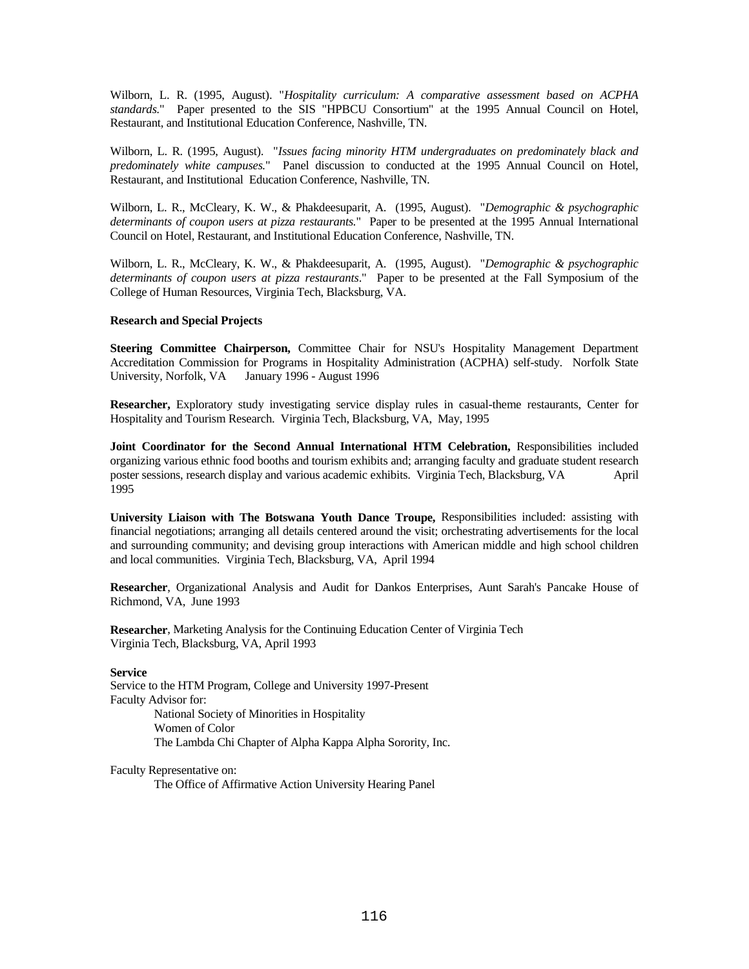Wilborn, L. R. (1995, August). "*Hospitality curriculum: A comparative assessment based on ACPHA standards.*" Paper presented to the SIS "HPBCU Consortium" at the 1995 Annual Council on Hotel, Restaurant, and Institutional Education Conference, Nashville, TN.

Wilborn, L. R. (1995, August). "*Issues facing minority HTM undergraduates on predominately black and predominately white campuses.*" Panel discussion to conducted at the 1995 Annual Council on Hotel, Restaurant, and Institutional Education Conference, Nashville, TN.

Wilborn, L. R., McCleary, K. W., & Phakdeesuparit, A. (1995, August). "*Demographic & psychographic determinants of coupon users at pizza restaurants.*" Paper to be presented at the 1995 Annual International Council on Hotel, Restaurant, and Institutional Education Conference, Nashville, TN.

Wilborn, L. R., McCleary, K. W., & Phakdeesuparit, A. (1995, August). "*Demographic & psychographic determinants of coupon users at pizza restaurants*." Paper to be presented at the Fall Symposium of the College of Human Resources, Virginia Tech, Blacksburg, VA.

## **Research and Special Projects**

**Steering Committee Chairperson,** Committee Chair for NSU's Hospitality Management Department Accreditation Commission for Programs in Hospitality Administration (ACPHA) self-study. Norfolk State University, Norfolk, VA January 1996 - August 1996

**Researcher,** Exploratory study investigating service display rules in casual-theme restaurants, Center for Hospitality and Tourism Research. Virginia Tech, Blacksburg, VA, May, 1995

**Joint Coordinator for the Second Annual International HTM Celebration,** Responsibilities included organizing various ethnic food booths and tourism exhibits and; arranging faculty and graduate student research poster sessions, research display and various academic exhibits. Virginia Tech, Blacksburg, VA April 1995

**University Liaison with The Botswana Youth Dance Troupe,** Responsibilities included: assisting with financial negotiations; arranging all details centered around the visit; orchestrating advertisements for the local and surrounding community; and devising group interactions with American middle and high school children and local communities. Virginia Tech, Blacksburg, VA, April 1994

**Researcher**, Organizational Analysis and Audit for Dankos Enterprises, Aunt Sarah's Pancake House of Richmond, VA, June 1993

**Researcher**, Marketing Analysis for the Continuing Education Center of Virginia Tech Virginia Tech, Blacksburg, VA, April 1993

#### **Service**

Service to the HTM Program, College and University 1997-Present Faculty Advisor for: National Society of Minorities in Hospitality Women of Color The Lambda Chi Chapter of Alpha Kappa Alpha Sorority, Inc.

Faculty Representative on: The Office of Affirmative Action University Hearing Panel